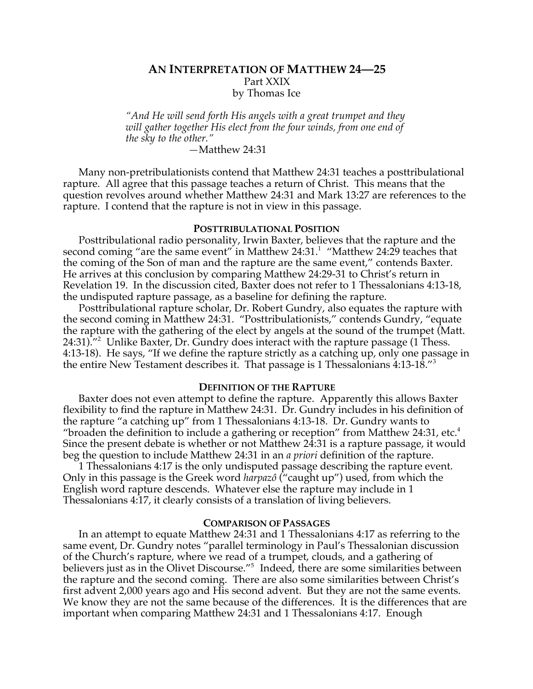# **AN INTERPRETATION OF MATTHEW 24—25** Part XXIX by Thomas Ice

*"And He will send forth His angels with a great trumpet and they will gather together His elect from the four winds, from one end of the sky to the other."*

*—*Matthew 24:31

Many non-pretribulationists contend that Matthew 24:31 teaches a posttribulational rapture. All agree that this passage teaches a return of Christ. This means that the question revolves around whether Matthew 24:31 and Mark 13:27 are references to the rapture. I contend that the rapture is not in view in this passage.

## **POSTTRIBULATIONAL POSITION**

Posttribulational radio personality, Irwin Baxter, believes that the rapture and the second coming "are the same event" in Matthew 24:31.<sup>1</sup> "Matthew 24:29 teaches that the coming of the Son of man and the rapture are the same event," contends Baxter. He arrives at this conclusion by comparing Matthew 24:29-31 to Christ's return in Revelation 19. In the discussion cited, Baxter does not refer to 1 Thessalonians 4:13-18, the undisputed rapture passage, as a baseline for defining the rapture.

Posttribulational rapture scholar, Dr. Robert Gundry, also equates the rapture with the second coming in Matthew 24:31. "Posttribulationists," contends Gundry, "equate the rapture with the gathering of the elect by angels at the sound of the trumpet (Matt. 24:31).<sup>"2</sup> Unlike Baxter, Dr. Gundry does interact with the rapture passage (1 Thess. 4:13-18). He says, "If we define the rapture strictly as a catching up, only one passage in the entire New Testament describes it. That passage is 1 Thessalonians 4:13-18."3

### **DEFINITION OF THE RAPTURE**

Baxter does not even attempt to define the rapture. Apparently this allows Baxter flexibility to find the rapture in Matthew 24:31. Dr. Gundry includes in his definition of the rapture "a catching up" from 1 Thessalonians 4:13-18. Dr. Gundry wants to "broaden the definition to include a gathering or reception" from Matthew 24:31, etc. $4$ Since the present debate is whether or not Matthew 24:31 is a rapture passage, it would beg the question to include Matthew 24:31 in an *a priori* definition of the rapture.

1 Thessalonians 4:17 is the only undisputed passage describing the rapture event. Only in this passage is the Greek word *harpazô* ("caught up") used, from which the English word rapture descends. Whatever else the rapture may include in 1 Thessalonians 4:17, it clearly consists of a translation of living believers.

#### **COMPARISON OF PASSAGES**

In an attempt to equate Matthew 24:31 and 1 Thessalonians 4:17 as referring to the same event, Dr. Gundry notes "parallel terminology in Paul's Thessalonian discussion of the Church's rapture, where we read of a trumpet, clouds, and a gathering of believers just as in the Olivet Discourse."5 Indeed, there are some similarities between the rapture and the second coming. There are also some similarities between Christ's first advent 2,000 years ago and His second advent. But they are not the same events. We know they are not the same because of the differences. It is the differences that are important when comparing Matthew 24:31 and 1 Thessalonians 4:17. Enough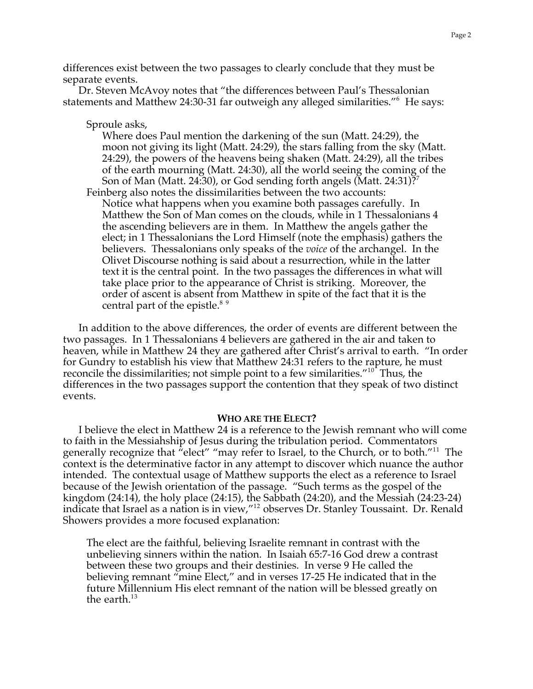differences exist between the two passages to clearly conclude that they must be separate events.

Dr. Steven McAvoy notes that "the differences between Paul's Thessalonian statements and Matthew 24:30-31 far outweigh any alleged similarities."<sup>6</sup> He says:

Sproule asks,

Where does Paul mention the darkening of the sun (Matt. 24:29), the moon not giving its light (Matt. 24:29), the stars falling from the sky (Matt. 24:29), the powers of the heavens being shaken (Matt. 24:29), all the tribes of the earth mourning (Matt. 24:30), all the world seeing the coming of the Son of Man (Matt. 24:30), or God sending forth angels (Matt. 24:31)?<sup>7</sup> Feinberg also notes the dissimilarities between the two accounts:

Notice what happens when you examine both passages carefully. In Matthew the Son of Man comes on the clouds, while in 1 Thessalonians 4 the ascending believers are in them. In Matthew the angels gather the elect; in 1 Thessalonians the Lord Himself (note the emphasis) gathers the believers. Thessalonians only speaks of the *voice* of the archangel. In the Olivet Discourse nothing is said about a resurrection, while in the latter text it is the central point. In the two passages the differences in what will take place prior to the appearance of Christ is striking. Moreover, the order of ascent is absent from Matthew in spite of the fact that it is the central part of the epistle. $89$ 

In addition to the above differences, the order of events are different between the two passages. In 1 Thessalonians 4 believers are gathered in the air and taken to heaven, while in Matthew 24 they are gathered after Christ's arrival to earth. "In order for Gundry to establish his view that Matthew 24:31 refers to the rapture, he must reconcile the dissimilarities; not simple point to a few similarities."<sup>10</sup> Thus, the differences in the two passages support the contention that they speak of two distinct events.

#### **WHO ARE THE ELECT?**

I believe the elect in Matthew 24 is a reference to the Jewish remnant who will come to faith in the Messiahship of Jesus during the tribulation period. Commentators generally recognize that "elect" "may refer to Israel, to the Church, or to both."<sup>11</sup> The context is the determinative factor in any attempt to discover which nuance the author intended. The contextual usage of Matthew supports the elect as a reference to Israel because of the Jewish orientation of the passage. "Such terms as the gospel of the kingdom (24:14), the holy place (24:15), the Sabbath (24:20), and the Messiah (24:23-24) indicate that Israel as a nation is in view,"12 observes Dr. Stanley Toussaint. Dr. Renald Showers provides a more focused explanation:

The elect are the faithful, believing Israelite remnant in contrast with the unbelieving sinners within the nation. In Isaiah 65:7-16 God drew a contrast between these two groups and their destinies. In verse 9 He called the believing remnant "mine Elect," and in verses 17-25 He indicated that in the future Millennium His elect remnant of the nation will be blessed greatly on the earth. $13$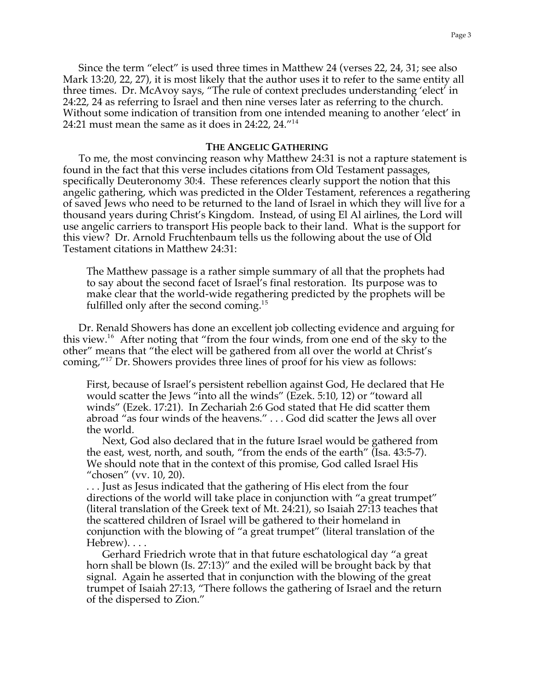Since the term "elect" is used three times in Matthew 24 (verses 22, 24, 31; see also Mark 13:20, 22, 27), it is most likely that the author uses it to refer to the same entity all three times. Dr. McAvoy says, "The rule of context precludes understanding 'elect' in 24:22, 24 as referring to Israel and then nine verses later as referring to the church. Without some indication of transition from one intended meaning to another 'elect' in 24:21 must mean the same as it does in 24:22, 24."<sup>14</sup>

## **THE ANGELIC GATHERING**

To me, the most convincing reason why Matthew 24:31 is not a rapture statement is found in the fact that this verse includes citations from Old Testament passages, specifically Deuteronomy 30:4. These references clearly support the notion that this angelic gathering, which was predicted in the Older Testament, references a regathering of saved Jews who need to be returned to the land of Israel in which they will live for a thousand years during Christ's Kingdom. Instead, of using El Al airlines, the Lord will use angelic carriers to transport His people back to their land. What is the support for this view? Dr. Arnold Fruchtenbaum tells us the following about the use of Old Testament citations in Matthew 24:31:

The Matthew passage is a rather simple summary of all that the prophets had to say about the second facet of Israel's final restoration. Its purpose was to make clear that the world-wide regathering predicted by the prophets will be fulfilled only after the second coming.15

Dr. Renald Showers has done an excellent job collecting evidence and arguing for this view.<sup>16</sup> After noting that "from the four winds, from one end of the sky to the other" means that "the elect will be gathered from all over the world at Christ's coming,"17 Dr. Showers provides three lines of proof for his view as follows:

First, because of Israel's persistent rebellion against God, He declared that He would scatter the Jews "into all the winds" (Ezek. 5:10, 12) or "toward all winds" (Ezek. 17:21). In Zechariah 2:6 God stated that He did scatter them abroad "as four winds of the heavens." . . . God did scatter the Jews all over the world.

Next, God also declared that in the future Israel would be gathered from the east, west, north, and south, "from the ends of the earth" (Isa. 43:5-7). We should note that in the context of this promise, God called Israel His "chosen" (vv. 10, 20).

. . . Just as Jesus indicated that the gathering of His elect from the four directions of the world will take place in conjunction with "a great trumpet" (literal translation of the Greek text of Mt. 24:21), so Isaiah 27:13 teaches that the scattered children of Israel will be gathered to their homeland in conjunction with the blowing of "a great trumpet" (literal translation of the Hebrew)....

Gerhard Friedrich wrote that in that future eschatological day "a great horn shall be blown (Is. 27:13)" and the exiled will be brought back by that signal. Again he asserted that in conjunction with the blowing of the great trumpet of Isaiah 27:13, "There follows the gathering of Israel and the return of the dispersed to Zion."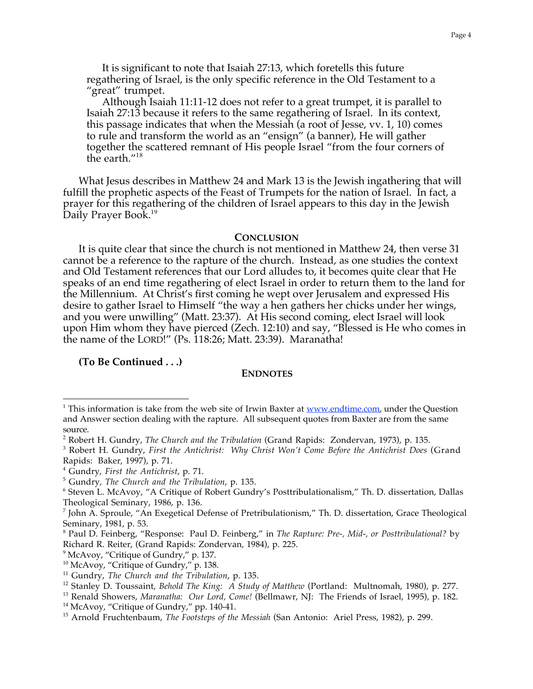It is significant to note that Isaiah 27:13, which foretells this future regathering of Israel, is the only specific reference in the Old Testament to a "great" trumpet.

Although Isaiah 11:11-12 does not refer to a great trumpet, it is parallel to Isaiah 27:13 because it refers to the same regathering of Israel. In its context, this passage indicates that when the Messiah (a root of Jesse, vv. 1, 10) comes to rule and transform the world as an "ensign" (a banner), He will gather together the scattered remnant of His people Israel "from the four corners of the earth."<sup>18</sup>

What Jesus describes in Matthew 24 and Mark 13 is the Jewish ingathering that will fulfill the prophetic aspects of the Feast of Trumpets for the nation of Israel. In fact, a prayer for this regathering of the children of Israel appears to this day in the Jewish Daily Prayer Book.<sup>19</sup>

### **CONCLUSION**

It is quite clear that since the church is not mentioned in Matthew 24, then verse 31 cannot be a reference to the rapture of the church. Instead, as one studies the context and Old Testament references that our Lord alludes to, it becomes quite clear that He speaks of an end time regathering of elect Israel in order to return them to the land for the Millennium. At Christ's first coming he wept over Jerusalem and expressed His desire to gather Israel to Himself "the way a hen gathers her chicks under her wings, and you were unwilling" (Matt. 23:37). At His second coming, elect Israel will look upon Him whom they have pierced (Zech. 12:10) and say, "Blessed is He who comes in the name of the LORD!" (Ps. 118:26; Matt. 23:39). Maranatha!

**(To Be Continued . . .)**

 $\overline{a}$ 

# **ENDNOTES**

- <sup>8</sup> Paul D. Feinberg, "Response: Paul D. Feinberg," in *The Rapture: Pre-, Mid-, or Posttribulational?* by Richard R. Reiter, (Grand Rapids: Zondervan, 1984), p. 225.
- <sup>9</sup> McAvoy, "Critique of Gundry," p. 137.

<sup>&</sup>lt;sup>1</sup> This information is take from the web site of Irwin Baxter at  $www.endtime.com$ , under the Question and Answer section dealing with the rapture. All subsequent quotes from Baxter are from the same source.

<sup>2</sup> Robert H. Gundry, *The Church and the Tribulation* (Grand Rapids: Zondervan, 1973), p. 135.

<sup>&</sup>lt;sup>3</sup> Robert H. Gundry, First the Antichrist: Why Christ Won't Come Before the Antichrist Does (Grand Rapids: Baker, 1997), p. 71.

<sup>4</sup> Gundry, *First the Antichrist*, p. 71.

<sup>5</sup> Gundry, *The Church and the Tribulation*, p. 135.

<sup>6</sup> Steven L. McAvoy, "A Critique of Robert Gundry's Posttribulationalism," Th. D. dissertation, Dallas Theological Seminary, 1986, p. 136.

 $^7$  John A. Sproule, "An Exegetical Defense of Pretribulationism," Th. D. dissertation, Grace Theological Seminary, 1981, p. 53.

<sup>&</sup>lt;sup>10</sup> McAvoy, "Critique of Gundry," p. 138.

<sup>11</sup> Gundry, *The Church and the Tribulation*, p. 135.

<sup>12</sup> Stanley D. Toussaint, *Behold The King: A Study of Matthew* (Portland: Multnomah, 1980), p. 277.

<sup>13</sup> Renald Showers, *Maranatha: Our Lord, Come!* (Bellmawr, NJ: The Friends of Israel, 1995), p. 182.

<sup>&</sup>lt;sup>14</sup> McAvoy, "Critique of Gundry," pp. 140-41.

<sup>15</sup> Arnold Fruchtenbaum, *The Footsteps of the Messiah* (San Antonio: Ariel Press, 1982), p. 299.